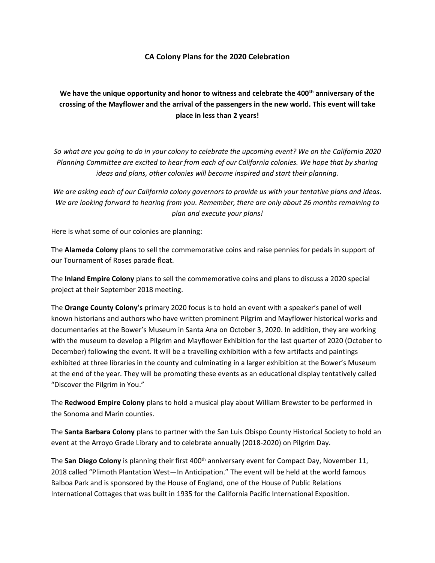## **CA Colony Plans for the 2020 Celebration**

## **We have the unique opportunity and honor to witness and celebrate the 400th anniversary of the crossing of the Mayflower and the arrival of the passengers in the new world. This event will take place in less than 2 years!**

*So what are you going to do in your colony to celebrate the upcoming event? We on the California 2020 Planning Committee are excited to hear from each of our California colonies. We hope that by sharing ideas and plans, other colonies will become inspired and start their planning.*

*We are asking each of our California colony governors to provide us with your tentative plans and ideas. We are looking forward to hearing from you. Remember, there are only about 26 months remaining to plan and execute your plans!*

Here is what some of our colonies are planning:

The **Alameda Colony** plans to sell the commemorative coins and raise pennies for pedals in support of our Tournament of Roses parade float.

The **Inland Empire Colony** plans to sell the commemorative coins and plans to discuss a 2020 special project at their September 2018 meeting.

The **Orange County Colony's** primary 2020 focus is to hold an event with a speaker's panel of well known historians and authors who have written prominent Pilgrim and Mayflower historical works and documentaries at the Bower's Museum in Santa Ana on October 3, 2020. In addition, they are working with the museum to develop a Pilgrim and Mayflower Exhibition for the last quarter of 2020 (October to December) following the event. It will be a travelling exhibition with a few artifacts and paintings exhibited at three libraries in the county and culminating in a larger exhibition at the Bower's Museum at the end of the year. They will be promoting these events as an educational display tentatively called "Discover the Pilgrim in You."

The **Redwood Empire Colony** plans to hold a musical play about William Brewster to be performed in the Sonoma and Marin counties.

The **Santa Barbara Colony** plans to partner with the San Luis Obispo County Historical Society to hold an event at the Arroyo Grade Library and to celebrate annually (2018-2020) on Pilgrim Day.

The **San Diego Colony** is planning their first 400<sup>th</sup> anniversary event for Compact Day, November 11, 2018 called "Plimoth Plantation West—In Anticipation." The event will be held at the world famous Balboa Park and is sponsored by the House of England, one of the House of Public Relations International Cottages that was built in 1935 for the California Pacific International Exposition.